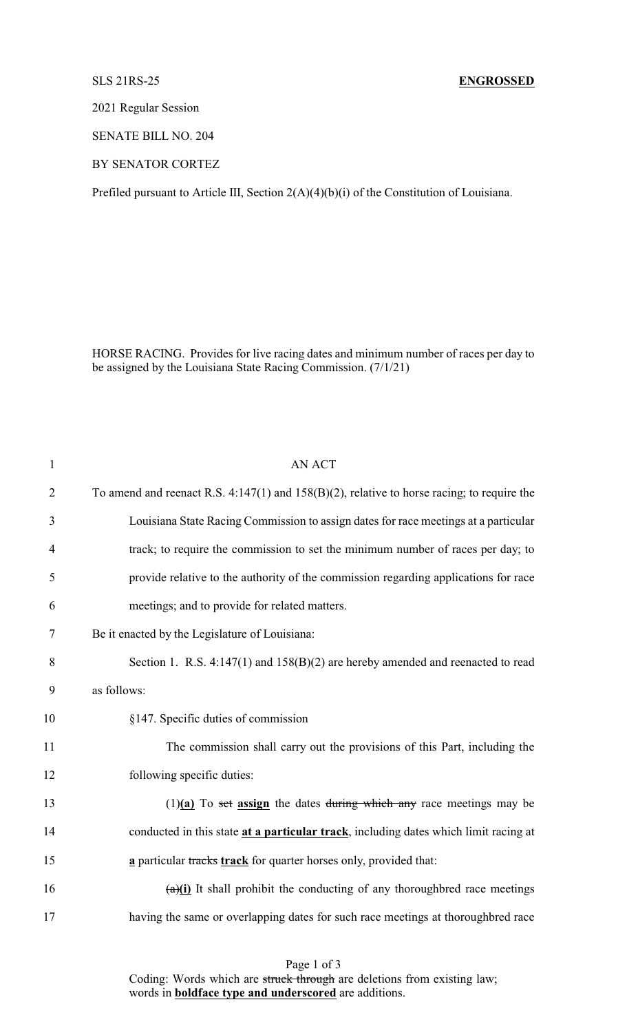## SLS 21RS-25 **ENGROSSED**

2021 Regular Session

SENATE BILL NO. 204

BY SENATOR CORTEZ

Prefiled pursuant to Article III, Section 2(A)(4)(b)(i) of the Constitution of Louisiana.

HORSE RACING. Provides for live racing dates and minimum number of races per day to be assigned by the Louisiana State Racing Commission. (7/1/21)

| $\mathbf{1}$   | <b>AN ACT</b>                                                                                 |
|----------------|-----------------------------------------------------------------------------------------------|
| $\overline{2}$ | To amend and reenact R.S. 4:147(1) and $158(B)(2)$ , relative to horse racing; to require the |
| 3              | Louisiana State Racing Commission to assign dates for race meetings at a particular           |
| $\overline{4}$ | track; to require the commission to set the minimum number of races per day; to               |
| 5              | provide relative to the authority of the commission regarding applications for race           |
| 6              | meetings; and to provide for related matters.                                                 |
| $\tau$         | Be it enacted by the Legislature of Louisiana:                                                |
| 8              | Section 1. R.S. $4:147(1)$ and $158(B)(2)$ are hereby amended and reenacted to read           |
| 9              | as follows:                                                                                   |
| 10             | §147. Specific duties of commission                                                           |
| 11             | The commission shall carry out the provisions of this Part, including the                     |
| 12             | following specific duties:                                                                    |
| 13             | $(1)(a)$ To set assign the dates during which any race meetings may be                        |
| 14             | conducted in this state at a particular track, including dates which limit racing at          |
| 15             | a particular tracks track for quarter horses only, provided that:                             |
| 16             | $\frac{a}{i}$ It shall prohibit the conducting of any thoroughbred race meetings              |
| 17             | having the same or overlapping dates for such race meetings at thoroughbred race              |
|                |                                                                                               |

Page 1 of 3

Coding: Words which are struck through are deletions from existing law; words in **boldface type and underscored** are additions.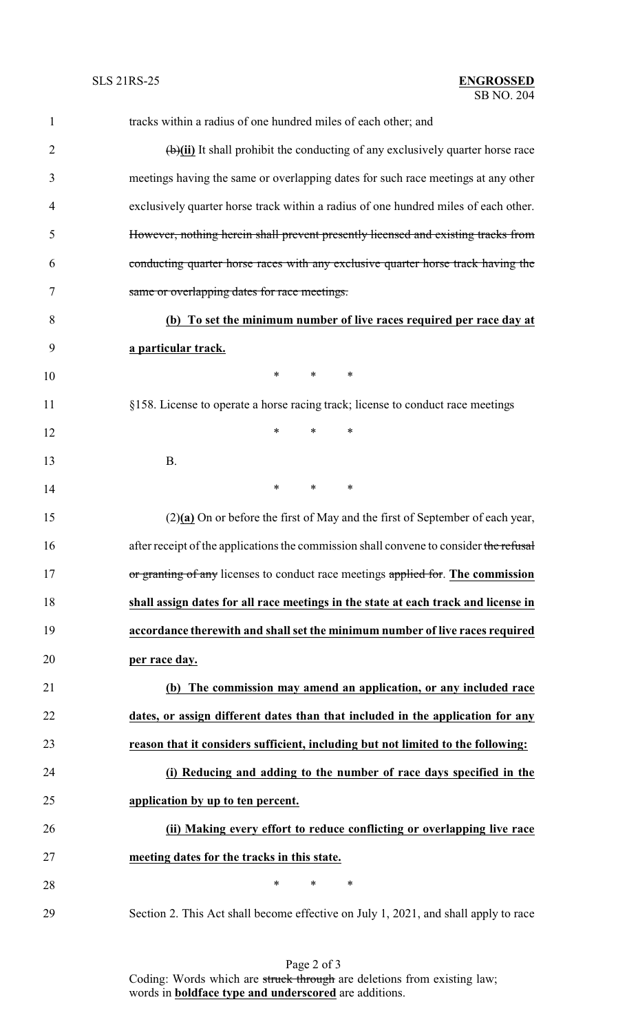| $\mathbf{1}$   | tracks within a radius of one hundred miles of each other; and                          |
|----------------|-----------------------------------------------------------------------------------------|
| $\overline{2}$ | $\overline{(b)}$ It shall prohibit the conducting of any exclusively quarter horse race |
| 3              | meetings having the same or overlapping dates for such race meetings at any other       |
| 4              | exclusively quarter horse track within a radius of one hundred miles of each other.     |
| 5              | However, nothing herein shall prevent presently licensed and existing tracks from       |
| 6              | conducting quarter horse races with any exclusive quarter horse track having the        |
| 7              | same or overlapping dates for race meetings.                                            |
| 8              | (b) To set the minimum number of live races required per race day at                    |
| 9              | a particular track.                                                                     |
| 10             | $\ast$<br>$\ast$<br>∗                                                                   |
| 11             | §158. License to operate a horse racing track; license to conduct race meetings         |
| 12             | $\ast$<br>$\ast$<br>$\ast$                                                              |
| 13             | <b>B.</b>                                                                               |
| 14             | $\ast$<br>*<br>∗                                                                        |
| 15             | $(2)(a)$ On or before the first of May and the first of September of each year,         |
| 16             | after receipt of the applications the commission shall convene to consider the refusal  |
| 17             | or granting of any licenses to conduct race meetings applied for. The commission        |
| 18             | shall assign dates for all race meetings in the state at each track and license in      |
| 19             | accordance therewith and shall set the minimum number of live races required            |
| 20             | per race day.                                                                           |
| 21             | (b) The commission may amend an application, or any included race                       |
| 22             | dates, or assign different dates than that included in the application for any          |
| 23             | reason that it considers sufficient, including but not limited to the following:        |
| 24             | (i) Reducing and adding to the number of race days specified in the                     |
| 25             | application by up to ten percent.                                                       |
| 26             | (ii) Making every effort to reduce conflicting or overlapping live race                 |
| 27             | meeting dates for the tracks in this state.                                             |
| 28             | $\ast$<br>*<br>$\ast$                                                                   |
| 29             | Section 2. This Act shall become effective on July 1, 2021, and shall apply to race     |

Page 2 of 3 Coding: Words which are struck through are deletions from existing law; words in **boldface type and underscored** are additions.